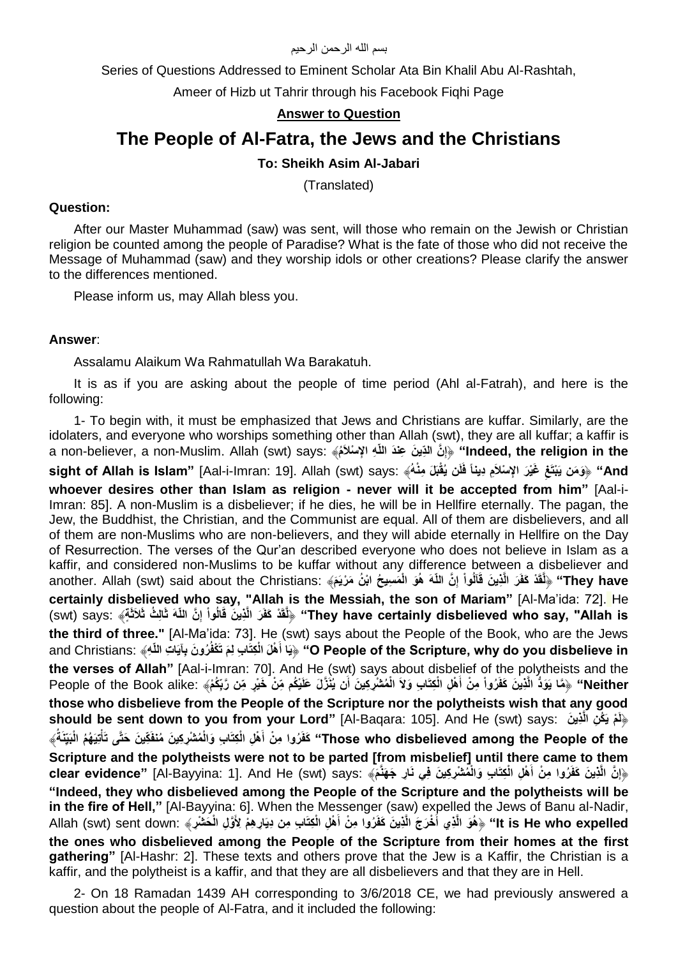#### بسم الله الرحمن الرحيم

Series of Questions Addressed to Eminent Scholar Ata Bin Khalil Abu Al-Rashtah,

Ameer of Hizb ut Tahrir through his Facebook Fiqhi Page

## **Answer to Question**

# **The People of Al-Fatra, the Jews and the Christians**

# **To: Sheikh Asim Al-Jabari**

(Translated)

#### **Question:**

After our Master Muhammad (saw) was sent, will those who remain on the Jewish or Christian religion be counted among the people of Paradise? What is the fate of those who did not receive the Message of Muhammad (saw) and they worship idols or other creations? Please clarify the answer to the differences mentioned.

Please inform us, may Allah bless you.

#### **Answer**:

Assalamu Alaikum Wa Rahmatullah Wa Barakatuh.

It is as if you are asking about the people of time period (Ahl al-Fatrah), and here is the following:

1- To begin with, it must be emphasized that Jews and Christians are kuffar. Similarly, are the idolaters, and everyone who worships something other than Allah (swt), they are all kuffar; a kaffir is a non-believer, a non-Muslim. Allah (swt) says: ﴿إِنَّ النَّبِ بَعْدَ اللَّهِ الإِسْلاَمُ» **a** non-believer, a non-Muslim. Allah (swt) says: **ِ** And" ﴿وَمَن يَبْتَغِ غَيْرَ الإِسْلاَمِ دِيناً فَلَن يُقْبَلَ مِنْهُ﴾ :sight of Allah is Islam" [Aal-i-Imran: 19]. Allah (swt) says **whoever desires other than Islam as religion - never will it be accepted from him"** [Aal-i-Imran: 85]. A non-Muslim is a disbeliever; if he dies, he will be in Hellfire eternally. The pagan, the Jew, the Buddhist, the Christian, and the Communist are equal. All of them are disbelievers, and all of them are non-Muslims who are non-believers, and they will abide eternally in Hellfire on the Day of Resurrection. The verses of the Qur'an described everyone who does not believe in Islam as a kaffir, and considered non-Muslims to be kuffar without any difference between a disbeliever and They have" ﴿لَقَدْ كَفَرَ الَّذِينَ قَاَلُواْ إِنَّ اللَّهَ هُوَ الْمَسِيحُ ابْنُ مَرْيَمَ﴾ :another. Allah (swt) said about the Christians **ِ certainly disbelieved who say, "Allah is the Messiah, the son of Mariam"** [Al-Ma'ida: 72]. He They have certainly disbelieved who say, "Allah is" ﴿لَٰقَدْ كَفَرَ الَّذِينَ قَالُواْ إِنَّ اللّهَ ثَالِثُ ثَلاثَةَيَّ says: ﴿ لَقَدْ كَفَرَ الَّذِينَ قَالُواْ إِنَّ اللّهَ ثَالِثُ ثَلاثَةً ﴾ **ِ the third of three."** [Al-Ma'ida: 73]. He (swt) says about the People of the Book, who are the Jews O People of the Scripture, why do you disbelieve in" ﴿ِيَا أَهْلَ الْكِتَابِ لِمَ تَكْفُرُونَ بِآيَاتِ اللَّهِ  $\,$  "O People of the Scripture, why do you disbelieve in **the verses of Allah"** [Aal-i-Imran: 70]. And He (swt) says about disbelief of the polytheists and the Neither'' ﴿مَّا يَوَدُّ الَّذِينَ كَفَرُواْ مِنْ أَهْلِ الْكِتَابِ وَلاَ الْمُشْرِكِينَ أَن يُنَزَّلَ عَلَيْكُم مِّنْ خَيْرٍ مِّن رَّبِكُمْ﴾ :People of the Book alike **those who disbelieve from the People of the Scripture nor the polytheists wish that any good should be sent down to you from your Lord"** [Al-Baqara: 105]. And He (swt) says: **ن ذيِ ْم ي ك ِن ال**  ﴿**ل**  Those who disbelieved among the People of the" كَفَرُوا مِنْ أَهْلِ الْكِتَابِ وَالْمُشْرِكِينَ مُنْفَكِّينَ خَتَّى تَأْتِيَهُمُ الْبَيِّنَةُ﴾  **ْ Scripture and the polytheists were not to be parted [from misbelief] until there came to them**  وَإِنَّ الَّذِينَ كَفَرُوا مِنْ أَهْلِ الْكِتَابِ وَالْمُشْرِكِينَ فِي نَارِ جَهَنَّمَ» :clear evidence" [Al-Bayyina: 1]. And He (swt) says  **ِ "Indeed, they who disbelieved among the People of the Scripture and the polytheists will be in the fire of Hell,"** [Al-Bayyina: 6]. When the Messenger (saw) expelled the Jews of Banu al-Nadir, lt is He who expelled" ﴿هُوَ الَّذِي أَخْرَجَ الَّذِينَ كَفَرُوا مِنْ أَهْلِ الْكِتَابِ مِن دِيَارِهِمْ لِأَوَّلِ الْخَشْرِ﴾ :Allah (swt) sent down  **the ones who disbelieved among the People of the Scripture from their homes at the first gathering"** [Al-Hashr: 2]. These texts and others prove that the Jew is a Kaffir, the Christian is a kaffir, and the polytheist is a kaffir, and that they are all disbelievers and that they are in Hell.

2- On 18 Ramadan 1439 AH corresponding to 3/6/2018 CE, we had previously answered a question about the people of Al-Fatra, and it included the following: